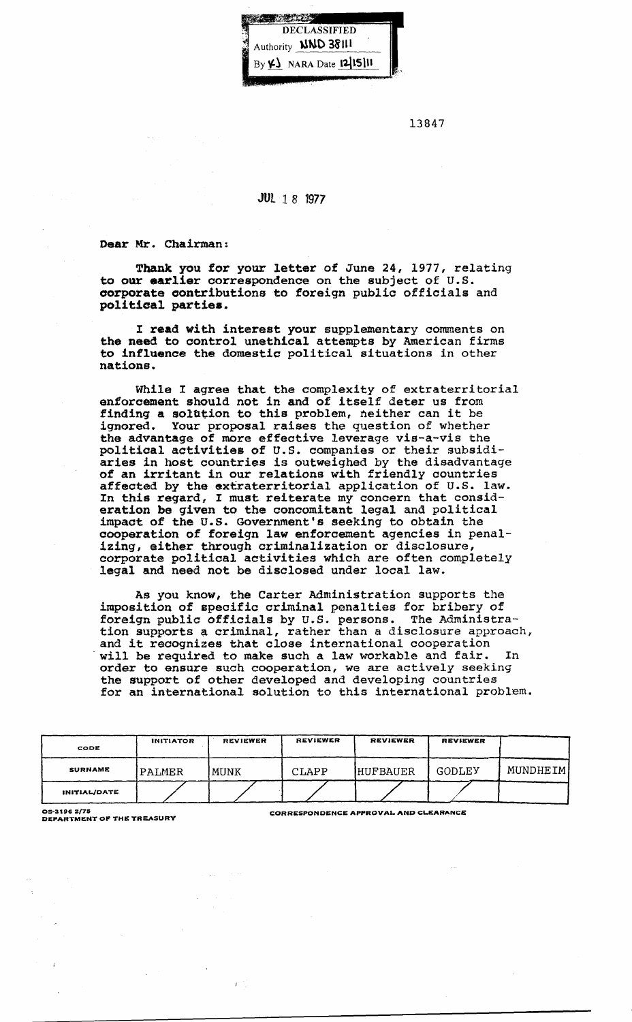

13847

## JUl 1 8 1977

Dear Mr. Chairman:

Thank you for your letter of June 24, 1977, relating to our earlier correspondence on the subject of U.S. corporate contributions to foreign public officials and political parties.

I read with interest your supplementary comments on the need to control unethical attempts by American firms to influence the domestic political situations in other nations.

While I agree that the complexity of extraterritorial enforcement should not in and of itself deter us from finding a solution to this problem, neither can it be ignored. Your proposal raises the question of whether the advantage of more effective leverage vis-a-vis the political activities of U.S. companies or their subsidiaries in host countries is outweighed by the disadvantage of an irritant in our relations with friendly countries of an irritant in our relations with friendly countries affected by the extraterritorial application of U.S. law. In this regard, I must reiterate my concern that consideration be given to the concomitant legal and political impact of the U.S. Government's seeking to obtain the cooperation of foreign law enforcement agencies in penalizing, either through criminalization or disclosure, corporate political activities which are often completely legal and need not be disclosed under local law.

As you know, the Carter Administration supports the imposition of specific criminal penalties for bribery of foreign public officials by U.S. persons. The Administration supports a criminal, rather than a disclosure approach, and it reoognizes that close international cooperation will be required to make such a law workable and fair. In order to ensure such cooperation, we are actively seeking the support of other developed and developing countries for an international solution to this international problem.

| CODE           | <b>INITIATOR</b> | <b>REVIEWER</b> | REVIEWER | <b>REVIEWER</b>  | REVIEWER      |          |
|----------------|------------------|-----------------|----------|------------------|---------------|----------|
| <b>SURNAME</b> | 'PALMER          | MUNK            | CLAPP    | <b>IHUFBAUER</b> | <b>GODLEY</b> | MUNDHEIM |
| INITIAL/DATE   |                  |                 |          |                  |               |          |

OS-3196 2/75<br>DEPARTMENT OF THE TREASURY CORRESPONDENCE APPROVAL AND CLEARANCE